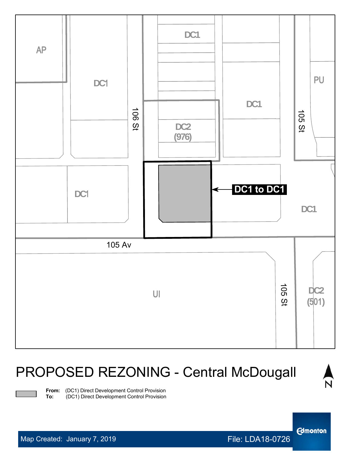

## PROPOSED REZONING - Central McDougall



**From:** (DC1) Direct Development Control Provision<br>**To:** (DC1) Direct Development Control Provision

**Edmonton**